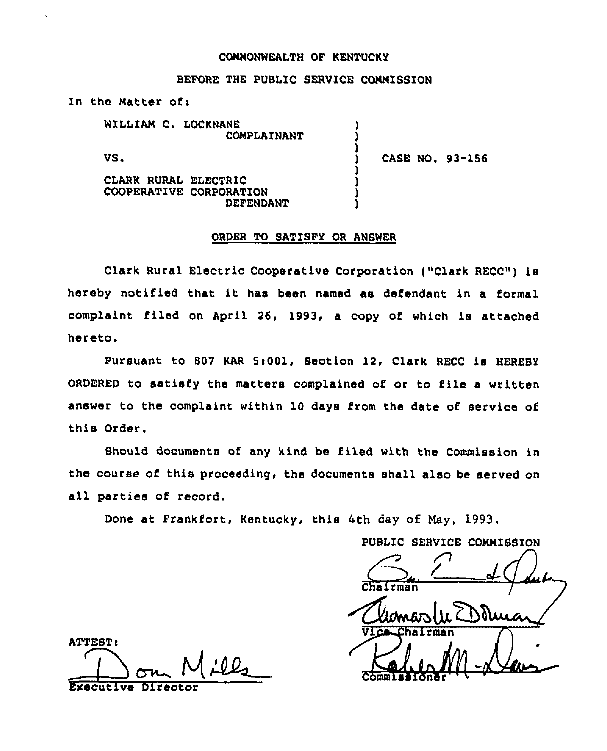## COMMONWEALTH OF KENTUCKY

## BEFORE THE PUBLIC SERVICE COMMISSION

) ) )

) ) ) )

In the Matter of:

WILLIAM C. LOCKNANE COMPLAINANT

VS.

) CASE NO. 93-166

CLARK RURAL ELECTRIC COOPERATIVE CORPORATION DEFENDANT

### ORDER TO SATISFY OR ANSWER

Clark Rural Electric Cooperative Corporation ("Clark RECC") is hereby notified that it has been named as defendant in <sup>a</sup> formal complaint filed on April 26, 1993, <sup>a</sup> copy of which is attached hereto.

Pursuant to 807 KAR 5:001, Section 12, Clark RECC is HEREBY ORDERED to satisfy the matters complained of or to file a written answer to the complaint within 10 days from the date of service of this Order.

Should documents of any kind be filed with the Commission in the course of this proceeding, the documents shall also be served on all parties of record.

Done at Frankfort, Kentucky, this 4th day of May, 1993.

PUBLIC SERVICE COMMISSION  $\bigodot$  $\frac{C_{\text{downar}}}{\sqrt{C_{\text{downar}}}}$ Vice Chairman<br>Commissioner 10

ATTEST: Directo Executive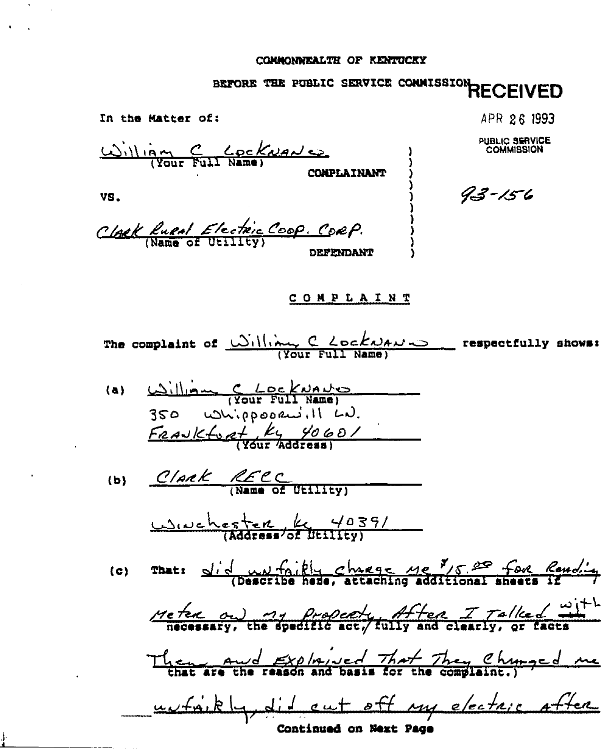# **COMMONWEALTH OF RENTUCKY**

# BEFORE THE PUBLIC SERVICE CONNISSION RECEIVED

In the Matter of: APR 26 1993 William C Cockwante **PUBLIC SERVICE**  $93 - 156$ VS. Clack Rupal Electric Coop. Corp. **COMPLAINT** The complaint of  $\frac{(\bigcup_{i=1}^{n}||\bigcup_{i=1}^{n}C_{i} \angle \bigcup_{i=1}^{n}A_{i}U_{i} \bigcup_{i=1}^{n}C_{i}}{(Var_{i} - E_{i}||I_{i} - Name)}$  respectfully shows: William C LockNANO  $(a)$  $350$  whippopensill LD.  $F$ <u>aavktoat</u> ky 4060/ (b) Clark RECC wwehester K 4039/ That:  $\frac{d}{dx}$   $\frac{d}{dx}$   $\frac{d}{dx}$   $\frac{d}{dx}$   $\frac{d}{dx}$   $\frac{d}{dx}$   $\frac{d}{dx}$   $\frac{d}{dx}$   $\frac{d}{dx}$  (Describe hede, attaching additional sheets if  $(c)$ Me text on my property, After I Talked with Then and Exploied That They Chunged me we fait hy did out off my electric after

**Continued on Next Page**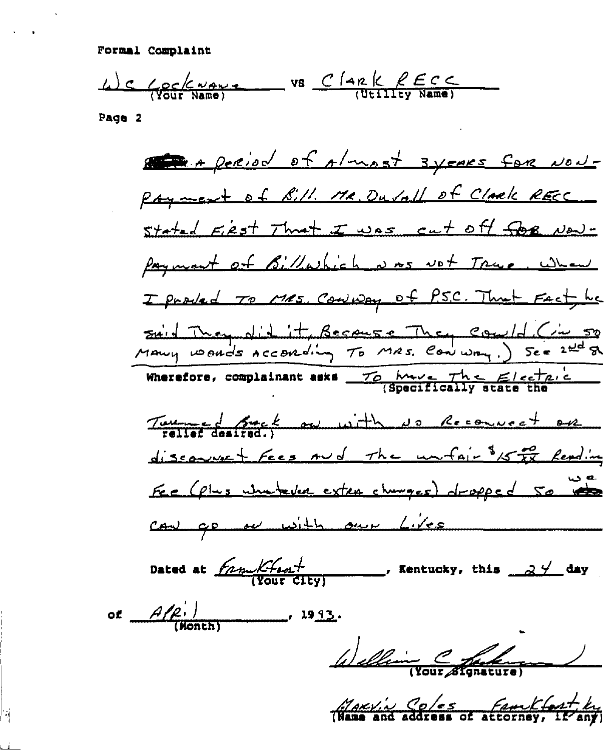Formal Complaint

We Gookways vs Clark RECC

Page 2

State + period of Almost syears for Now-Payment of Sill. MR. Du Vall of Clark RECC stated First Thrat I was cut off for New-Payment of Billwhich was not True, when I product To Mes. Convidery of P.S.C. That Fact he said They did it, Because They Could (in 50  $\frac{76 \text{ hwe}}{19000}$  the  $\frac{e}{100}$ Wherefore, complainant asks \_ Two of fact on with no Recouncet on discourse + Fees rud The unfair of the Reading Fee (plus whetever exten changes) dropped 50 to can ge or with our Lives Dated at  $f_{\text{A} \text{put}}/f_{\text{A} \text{out}}$ , Kentucky, this  $\frac{1}{2}$  day of  $\frac{A}{P}$  $\frac{1993}{100}$ Welling Chat

MARY's Coles feastlest by